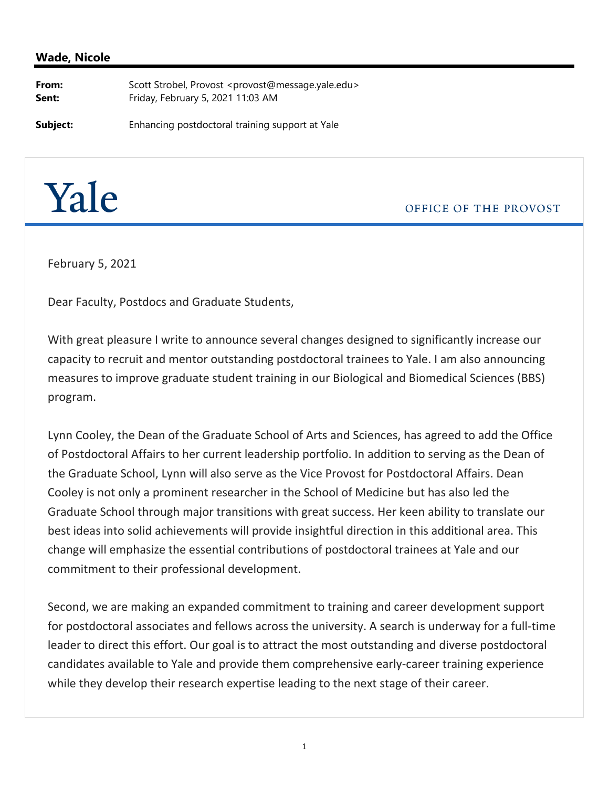## **Wade, Nicole**

**From:** Scott Strobel, Provost <provost@message.yale.edu> **Sent:** Friday, February 5, 2021 11:03 AM

**Subject:** Enhancing postdoctoral training support at Yale



OFFICE OF THE PROVOST

February 5, 2021

Dear Faculty, Postdocs and Graduate Students,

With great pleasure I write to announce several changes designed to significantly increase our capacity to recruit and mentor outstanding postdoctoral trainees to Yale. I am also announcing measures to improve graduate student training in our Biological and Biomedical Sciences (BBS) program.

Lynn Cooley, the Dean of the Graduate School of Arts and Sciences, has agreed to add the Office of Postdoctoral Affairs to her current leadership portfolio. In addition to serving as the Dean of the Graduate School, Lynn will also serve as the Vice Provost for Postdoctoral Affairs. Dean Cooley is not only a prominent researcher in the School of Medicine but has also led the Graduate School through major transitions with great success. Her keen ability to translate our best ideas into solid achievements will provide insightful direction in this additional area. This change will emphasize the essential contributions of postdoctoral trainees at Yale and our commitment to their professional development.

Second, we are making an expanded commitment to training and career development support for postdoctoral associates and fellows across the university. A search is underway for a full-time leader to direct this effort. Our goal is to attract the most outstanding and diverse postdoctoral candidates available to Yale and provide them comprehensive early‐career training experience while they develop their research expertise leading to the next stage of their career.

1